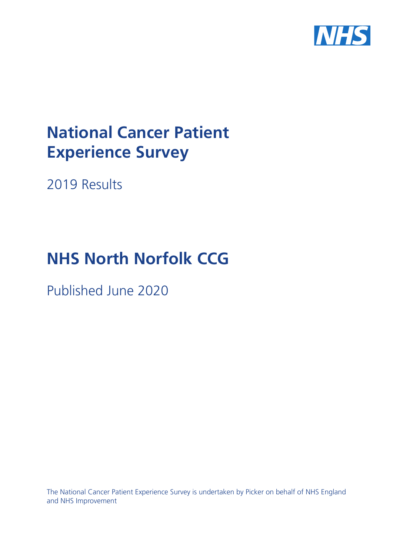

# **National Cancer Patient Experience Survey**

2019 Results

# **NHS North Norfolk CCG**

Published June 2020

The National Cancer Patient Experience Survey is undertaken by Picker on behalf of NHS England and NHS Improvement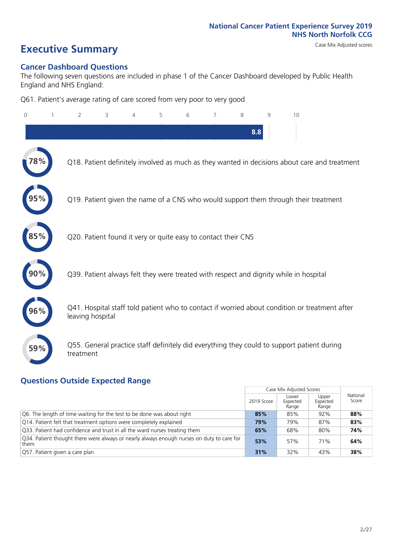# **Executive Summary** Case Mix Adjusted scores

### **Cancer Dashboard Questions**

The following seven questions are included in phase 1 of the Cancer Dashboard developed by Public Health England and NHS England:

Q61. Patient's average rating of care scored from very poor to very good

| 0   | $\overline{2}$                                                | 3 | 5 | 6 | 7 | 8   | $\mathsf{Q}$ | 10                                                                                            |  |
|-----|---------------------------------------------------------------|---|---|---|---|-----|--------------|-----------------------------------------------------------------------------------------------|--|
|     |                                                               |   |   |   |   | 8.8 |              |                                                                                               |  |
|     |                                                               |   |   |   |   |     |              | Q18. Patient definitely involved as much as they wanted in decisions about care and treatment |  |
|     |                                                               |   |   |   |   |     |              | Q19. Patient given the name of a CNS who would support them through their treatment           |  |
|     | Q20. Patient found it very or quite easy to contact their CNS |   |   |   |   |     |              |                                                                                               |  |
|     |                                                               |   |   |   |   |     |              | Q39. Patient always felt they were treated with respect and dignity while in hospital         |  |
| 96% | leaving hospital                                              |   |   |   |   |     |              | Q41. Hospital staff told patient who to contact if worried about condition or treatment after |  |
| 59% | treatment                                                     |   |   |   |   |     |              | Q55. General practice staff definitely did everything they could to support patient during    |  |

### **Questions Outside Expected Range**

|                                                                                                   |            | Case Mix Adjusted Scores   |                            |                   |
|---------------------------------------------------------------------------------------------------|------------|----------------------------|----------------------------|-------------------|
|                                                                                                   | 2019 Score | Lower<br>Expected<br>Range | Upper<br>Expected<br>Range | National<br>Score |
| Q6. The length of time waiting for the test to be done was about right                            | 85%        | 85%                        | 92%                        | 88%               |
| Q14. Patient felt that treatment options were completely explained                                | 79%        | 79%                        | 87%                        | 83%               |
| Q33. Patient had confidence and trust in all the ward nurses treating them                        | 65%        | 68%                        | 80%                        | 74%               |
| Q34. Patient thought there were always or nearly always enough nurses on duty to care for<br>them | 53%        | 57%                        | 71%                        | 64%               |
| Q57. Patient given a care plan                                                                    | 31%        | 32%                        | 43%                        | 38%               |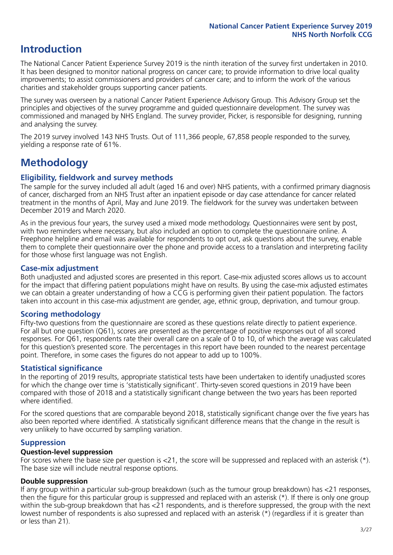# **Introduction**

The National Cancer Patient Experience Survey 2019 is the ninth iteration of the survey first undertaken in 2010. It has been designed to monitor national progress on cancer care; to provide information to drive local quality improvements; to assist commissioners and providers of cancer care; and to inform the work of the various charities and stakeholder groups supporting cancer patients.

The survey was overseen by a national Cancer Patient Experience Advisory Group. This Advisory Group set the principles and objectives of the survey programme and guided questionnaire development. The survey was commissioned and managed by NHS England. The survey provider, Picker, is responsible for designing, running and analysing the survey.

The 2019 survey involved 143 NHS Trusts. Out of 111,366 people, 67,858 people responded to the survey, yielding a response rate of 61%.

# **Methodology**

### **Eligibility, fieldwork and survey methods**

The sample for the survey included all adult (aged 16 and over) NHS patients, with a confirmed primary diagnosis of cancer, discharged from an NHS Trust after an inpatient episode or day case attendance for cancer related treatment in the months of April, May and June 2019. The fieldwork for the survey was undertaken between December 2019 and March 2020.

As in the previous four years, the survey used a mixed mode methodology. Questionnaires were sent by post, with two reminders where necessary, but also included an option to complete the questionnaire online. A Freephone helpline and email was available for respondents to opt out, ask questions about the survey, enable them to complete their questionnaire over the phone and provide access to a translation and interpreting facility for those whose first language was not English.

### **Case-mix adjustment**

Both unadjusted and adjusted scores are presented in this report. Case-mix adjusted scores allows us to account for the impact that differing patient populations might have on results. By using the case-mix adjusted estimates we can obtain a greater understanding of how a CCG is performing given their patient population. The factors taken into account in this case-mix adjustment are gender, age, ethnic group, deprivation, and tumour group.

### **Scoring methodology**

Fifty-two questions from the questionnaire are scored as these questions relate directly to patient experience. For all but one question (Q61), scores are presented as the percentage of positive responses out of all scored responses. For Q61, respondents rate their overall care on a scale of 0 to 10, of which the average was calculated for this question's presented score. The percentages in this report have been rounded to the nearest percentage point. Therefore, in some cases the figures do not appear to add up to 100%.

### **Statistical significance**

In the reporting of 2019 results, appropriate statistical tests have been undertaken to identify unadjusted scores for which the change over time is 'statistically significant'. Thirty-seven scored questions in 2019 have been compared with those of 2018 and a statistically significant change between the two years has been reported where identified.

For the scored questions that are comparable beyond 2018, statistically significant change over the five years has also been reported where identified. A statistically significant difference means that the change in the result is very unlikely to have occurred by sampling variation.

### **Suppression**

### **Question-level suppression**

For scores where the base size per question is  $<$ 21, the score will be suppressed and replaced with an asterisk (\*). The base size will include neutral response options.

### **Double suppression**

If any group within a particular sub-group breakdown (such as the tumour group breakdown) has <21 responses, then the figure for this particular group is suppressed and replaced with an asterisk (\*). If there is only one group within the sub-group breakdown that has <21 respondents, and is therefore suppressed, the group with the next lowest number of respondents is also supressed and replaced with an asterisk (\*) (regardless if it is greater than or less than 21).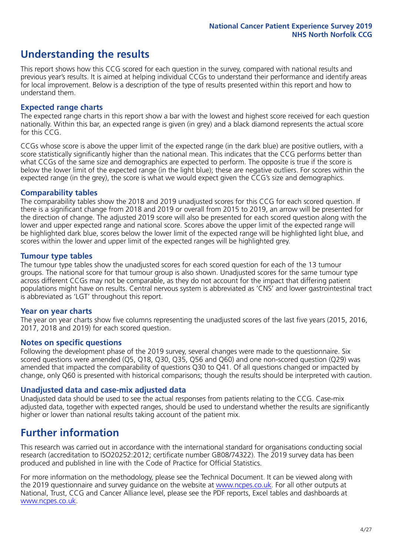# **Understanding the results**

This report shows how this CCG scored for each question in the survey, compared with national results and previous year's results. It is aimed at helping individual CCGs to understand their performance and identify areas for local improvement. Below is a description of the type of results presented within this report and how to understand them.

### **Expected range charts**

The expected range charts in this report show a bar with the lowest and highest score received for each question nationally. Within this bar, an expected range is given (in grey) and a black diamond represents the actual score for this CCG.

CCGs whose score is above the upper limit of the expected range (in the dark blue) are positive outliers, with a score statistically significantly higher than the national mean. This indicates that the CCG performs better than what CCGs of the same size and demographics are expected to perform. The opposite is true if the score is below the lower limit of the expected range (in the light blue); these are negative outliers. For scores within the expected range (in the grey), the score is what we would expect given the CCG's size and demographics.

### **Comparability tables**

The comparability tables show the 2018 and 2019 unadjusted scores for this CCG for each scored question. If there is a significant change from 2018 and 2019 or overall from 2015 to 2019, an arrow will be presented for the direction of change. The adjusted 2019 score will also be presented for each scored question along with the lower and upper expected range and national score. Scores above the upper limit of the expected range will be highlighted dark blue, scores below the lower limit of the expected range will be highlighted light blue, and scores within the lower and upper limit of the expected ranges will be highlighted grey.

### **Tumour type tables**

The tumour type tables show the unadjusted scores for each scored question for each of the 13 tumour groups. The national score for that tumour group is also shown. Unadjusted scores for the same tumour type across different CCGs may not be comparable, as they do not account for the impact that differing patient populations might have on results. Central nervous system is abbreviated as 'CNS' and lower gastrointestinal tract is abbreviated as 'LGT' throughout this report.

### **Year on year charts**

The year on year charts show five columns representing the unadjusted scores of the last five years (2015, 2016, 2017, 2018 and 2019) for each scored question.

### **Notes on specific questions**

Following the development phase of the 2019 survey, several changes were made to the questionnaire. Six scored questions were amended (Q5, Q18, Q30, Q35, Q56 and Q60) and one non-scored question (Q29) was amended that impacted the comparability of questions Q30 to Q41. Of all questions changed or impacted by change, only Q60 is presented with historical comparisons; though the results should be interpreted with caution.

### **Unadjusted data and case-mix adjusted data**

Unadjusted data should be used to see the actual responses from patients relating to the CCG. Case-mix adjusted data, together with expected ranges, should be used to understand whether the results are significantly higher or lower than national results taking account of the patient mix.

## **Further information**

This research was carried out in accordance with the international standard for organisations conducting social research (accreditation to ISO20252:2012; certificate number GB08/74322). The 2019 survey data has been produced and published in line with the Code of Practice for Official Statistics.

For more information on the methodology, please see the Technical Document. It can be viewed along with the 2019 questionnaire and survey quidance on the website at [www.ncpes.co.uk](https://www.ncpes.co.uk/supporting-documents). For all other outputs at National, Trust, CCG and Cancer Alliance level, please see the PDF reports, Excel tables and dashboards at [www.ncpes.co.uk.](https://www.ncpes.co.uk/current-results)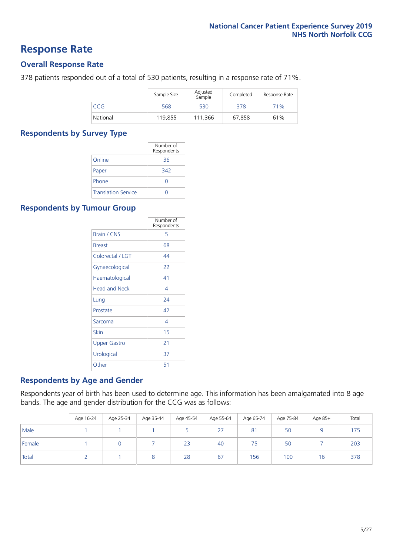### **Response Rate**

### **Overall Response Rate**

378 patients responded out of a total of 530 patients, resulting in a response rate of 71%.

|            | Sample Size | Adjusted<br>Sample | Completed | Response Rate |
|------------|-------------|--------------------|-----------|---------------|
| <b>CCG</b> | 568         | 530                | 378       | 71%           |
| National   | 119.855     | 111.366            | 67.858    | 61%           |

### **Respondents by Survey Type**

|                            | Number of<br>Respondents |
|----------------------------|--------------------------|
| Online                     | 36                       |
| Paper                      | 342                      |
| Phone                      | $\left( \right)$         |
| <b>Translation Service</b> |                          |

### **Respondents by Tumour Group**

|                      | Number of<br>Respondents |
|----------------------|--------------------------|
| <b>Brain / CNS</b>   | 5                        |
| <b>Breast</b>        | 68                       |
| Colorectal / LGT     | 44                       |
| Gynaecological       | 22                       |
| Haematological       | 41                       |
| <b>Head and Neck</b> | 4                        |
| Lung                 | 74                       |
| Prostate             | 42                       |
| Sarcoma              | 4                        |
| Skin                 | 15                       |
| <b>Upper Gastro</b>  | 21                       |
| Urological           | 37                       |
| Other                | 51                       |

### **Respondents by Age and Gender**

Respondents year of birth has been used to determine age. This information has been amalgamated into 8 age bands. The age and gender distribution for the CCG was as follows:

|        | Age 16-24 | Age 25-34 | Age 35-44 | Age 45-54 | Age 55-64 | Age 65-74 | Age 75-84 | Age 85+ | Total |
|--------|-----------|-----------|-----------|-----------|-----------|-----------|-----------|---------|-------|
| Male   |           |           |           |           | 27        | 81        | 50        |         | 175   |
| Female |           |           |           | 23        | 40        | 75        | 50        |         | 203   |
| Total  |           |           |           | 28        | 67        | 156       | 100       | 16      | 378   |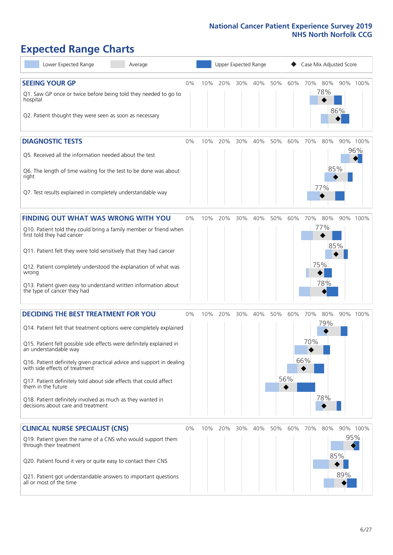# **Expected Range Charts**

| Lower Expected Range<br>Average                                                                                                                                 |    |     | Upper Expected Range |     |     |     |     | Case Mix Adjusted Score |            |     |                 |
|-----------------------------------------------------------------------------------------------------------------------------------------------------------------|----|-----|----------------------|-----|-----|-----|-----|-------------------------|------------|-----|-----------------|
| <b>SEEING YOUR GP</b><br>Q1. Saw GP once or twice before being told they needed to go to<br>hospital<br>Q2. Patient thought they were seen as soon as necessary | 0% | 10% | 20%                  | 30% | 40% | 50% | 60% | 70%                     | 80%<br>78% | 86% | 90% 100%        |
| <b>DIAGNOSTIC TESTS</b><br>Q5. Received all the information needed about the test<br>Q6. The length of time waiting for the test to be done was about           | 0% | 10% | 20%                  | 30% | 40% | 50% | 60% | 70%                     | 80%<br>85% |     | 90% 100%<br>96% |
| right<br>Q7. Test results explained in completely understandable way                                                                                            |    |     |                      |     |     |     |     |                         | 77%        |     |                 |
| <b>FINDING OUT WHAT WAS WRONG WITH YOU</b>                                                                                                                      | 0% | 10% | 20%                  | 30% | 40% | 50% | 60% | 70%                     | 80%        |     | 90% 100%        |
| Q10. Patient told they could bring a family member or friend when<br>first told they had cancer                                                                 |    |     |                      |     |     |     |     |                         | 77%        |     |                 |
| Q11. Patient felt they were told sensitively that they had cancer                                                                                               |    |     |                      |     |     |     |     |                         | 85%        |     |                 |
| Q12. Patient completely understood the explanation of what was<br>wrong                                                                                         |    |     |                      |     |     |     |     | 75%                     |            |     |                 |
| Q13. Patient given easy to understand written information about<br>the type of cancer they had                                                                  |    |     |                      |     |     |     |     |                         | 78%        |     |                 |
| <b>DECIDING THE BEST TREATMENT FOR YOU</b>                                                                                                                      | 0% | 10% | 20%                  | 30% | 40% | 50% | 60% | 70%                     | 80%        |     | 90% 100%        |
| Q14. Patient felt that treatment options were completely explained                                                                                              |    |     |                      |     |     |     |     |                         | 79%        |     |                 |
| Q15. Patient felt possible side effects were definitely explained in<br>an understandable way                                                                   |    |     |                      |     |     |     |     | 70%                     |            |     |                 |
| Q16. Patient definitely given practical advice and support in dealing<br>with side effects of treatment                                                         |    |     |                      |     |     |     |     | 66%                     |            |     |                 |
| Q17. Patient definitely told about side effects that could affect<br>them in the future                                                                         |    |     |                      |     |     |     | 56% |                         |            |     |                 |
| Q18. Patient definitely involved as much as they wanted in<br>decisions about care and treatment                                                                |    |     |                      |     |     |     |     |                         | 78%        |     |                 |
| <b>CLINICAL NURSE SPECIALIST (CNS)</b>                                                                                                                          | 0% | 10% | 20%                  | 30% | 40% | 50% | 60% | 70%                     | 80%        |     | 90% 100%        |
| Q19. Patient given the name of a CNS who would support them<br>through their treatment                                                                          |    |     |                      |     |     |     |     |                         |            | 95% |                 |
| Q20. Patient found it very or quite easy to contact their CNS                                                                                                   |    |     |                      |     |     |     |     |                         | 85%        |     |                 |
| Q21. Patient got understandable answers to important questions<br>all or most of the time                                                                       |    |     |                      |     |     |     |     |                         |            | 89% |                 |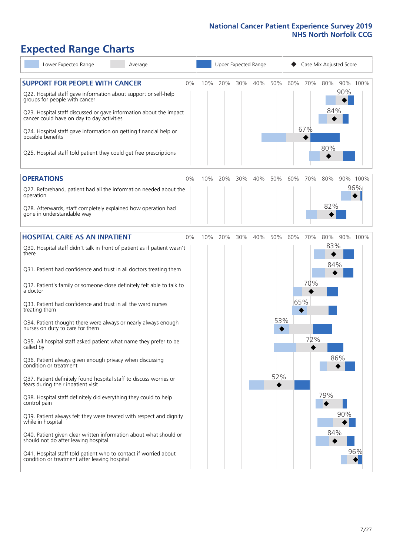# **Expected Range Charts**

| Lower Expected Range<br>Average                                                                                   |    | Upper Expected Range<br>Case Mix Adjusted Score |         |     |     |     |     |     |     |     |          |
|-------------------------------------------------------------------------------------------------------------------|----|-------------------------------------------------|---------|-----|-----|-----|-----|-----|-----|-----|----------|
| <b>SUPPORT FOR PEOPLE WITH CANCER</b><br>Q22. Hospital staff gave information about support or self-help          | 0% | 10%                                             | 20%     | 30% | 40% | 50% | 60% | 70% | 80% | 90% | 90% 100% |
| groups for people with cancer                                                                                     |    |                                                 |         |     |     |     |     |     | 84% |     |          |
| Q23. Hospital staff discussed or gave information about the impact<br>cancer could have on day to day activities  |    |                                                 |         |     |     |     |     |     |     |     |          |
| Q24. Hospital staff gave information on getting financial help or<br>possible benefits                            |    |                                                 |         |     |     |     |     | 67% |     |     |          |
| Q25. Hospital staff told patient they could get free prescriptions                                                |    |                                                 |         |     |     |     |     |     | 80% |     |          |
| <b>OPERATIONS</b>                                                                                                 | 0% | 10%                                             | 20%     | 30% | 40% | 50% | 60% | 70% | 80% |     | 90% 100% |
| Q27. Beforehand, patient had all the information needed about the<br>operation                                    |    |                                                 |         |     |     |     |     |     |     |     | 96%      |
| Q28. Afterwards, staff completely explained how operation had<br>gone in understandable way                       |    |                                                 |         |     |     |     |     |     | 82% |     |          |
| <b>HOSPITAL CARE AS AN INPATIENT</b>                                                                              | 0% |                                                 | 10% 20% | 30% | 40% | 50% | 60% | 70% | 80% |     | 90% 100% |
| Q30. Hospital staff didn't talk in front of patient as if patient wasn't<br>there                                 |    |                                                 |         |     |     |     |     |     | 83% |     |          |
| Q31. Patient had confidence and trust in all doctors treating them                                                |    |                                                 |         |     |     |     |     |     | 84% |     |          |
| Q32. Patient's family or someone close definitely felt able to talk to<br>a doctor                                |    |                                                 |         |     |     |     |     | 70% |     |     |          |
| Q33. Patient had confidence and trust in all the ward nurses<br>treating them                                     |    |                                                 |         |     |     |     | 65% |     |     |     |          |
| Q34. Patient thought there were always or nearly always enough<br>nurses on duty to care for them                 |    |                                                 |         |     |     | 53% |     |     |     |     |          |
| Q35. All hospital staff asked patient what name they prefer to be<br>called by                                    |    |                                                 |         |     |     |     |     | 72% |     |     |          |
| Q36. Patient always given enough privacy when discussing<br>condition or treatment                                |    |                                                 |         |     |     |     |     |     |     | 86% |          |
| Q37. Patient definitely found hospital staff to discuss worries or<br>fears during their inpatient visit          |    |                                                 |         |     |     | 52% |     |     |     |     |          |
| Q38. Hospital staff definitely did everything they could to help<br>control pain                                  |    |                                                 |         |     |     |     |     |     | 79% |     |          |
| Q39. Patient always felt they were treated with respect and dignity<br>while in hospital                          |    |                                                 |         |     |     |     |     |     |     | 90% |          |
| Q40. Patient given clear written information about what should or<br>should not do after leaving hospital         |    |                                                 |         |     |     |     |     |     | 84% |     |          |
| Q41. Hospital staff told patient who to contact if worried about<br>condition or treatment after leaving hospital |    |                                                 |         |     |     |     |     |     |     |     | 96%      |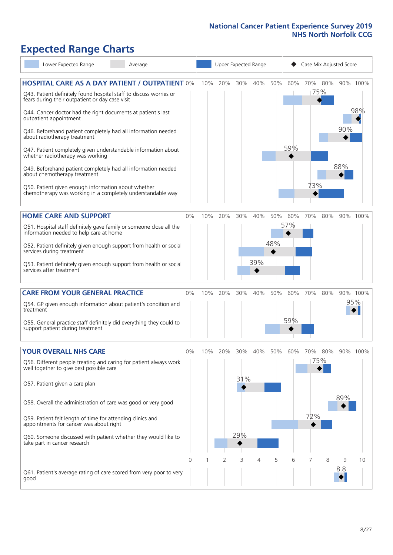# **Expected Range Charts**

| Lower Expected Range<br>Average                                                                                       |    |     |     |        | Upper Expected Range |     |     | Case Mix Adjusted Score |     |     |          |
|-----------------------------------------------------------------------------------------------------------------------|----|-----|-----|--------|----------------------|-----|-----|-------------------------|-----|-----|----------|
| <b>HOSPITAL CARE AS A DAY PATIENT / OUTPATIENT 0%</b>                                                                 |    | 10% | 20% | 30%    | 40%                  | 50% | 60% | 70%                     | 80% |     | 90% 100% |
| Q43. Patient definitely found hospital staff to discuss worries or<br>fears during their outpatient or day case visit |    |     |     |        |                      |     |     |                         | 75% |     |          |
| Q44. Cancer doctor had the right documents at patient's last<br>outpatient appointment                                |    |     |     |        |                      |     |     |                         |     |     | 98%      |
| Q46. Beforehand patient completely had all information needed<br>about radiotherapy treatment                         |    |     |     |        |                      |     |     |                         |     | 90% |          |
| Q47. Patient completely given understandable information about<br>whether radiotherapy was working                    |    |     |     |        |                      |     | 59% |                         |     |     |          |
| Q49. Beforehand patient completely had all information needed<br>about chemotherapy treatment                         |    |     |     |        |                      |     |     |                         |     | 88% |          |
| Q50. Patient given enough information about whether<br>chemotherapy was working in a completely understandable way    |    |     |     |        |                      |     |     | 73%                     |     |     |          |
| <b>HOME CARE AND SUPPORT</b>                                                                                          | 0% | 10% | 20% | 30%    | 40%                  | 50% | 60% | 70%                     | 80% |     | 90% 100% |
| Q51. Hospital staff definitely gave family or someone close all the<br>information needed to help care at home        |    |     |     |        |                      |     | 57% |                         |     |     |          |
| Q52. Patient definitely given enough support from health or social<br>services during treatment                       |    |     |     |        |                      | 48% |     |                         |     |     |          |
| Q53. Patient definitely given enough support from health or social<br>services after treatment                        |    |     |     |        | 39%                  |     |     |                         |     |     |          |
| <b>CARE FROM YOUR GENERAL PRACTICE</b>                                                                                | 0% | 10% | 20% | $30\%$ | 40%                  | 50% | 60% | 70%                     | 80% |     | 90% 100% |
| Q54. GP given enough information about patient's condition and<br>treatment                                           |    |     |     |        |                      |     |     |                         |     |     | 95%      |
| Q55. General practice staff definitely did everything they could to<br>support patient during treatment               |    |     |     |        |                      |     | 59% |                         |     |     |          |
| <b>YOUR OVERALL NHS CARE</b>                                                                                          | 0% | 10% | 20% | 30%    | 40%                  | 50% | 60% | 70%                     | 80% |     | 90% 100% |
| Q56. Different people treating and caring for patient always work<br>well together to give best possible care         |    |     |     |        |                      |     |     |                         | 75% |     |          |
| Q57. Patient given a care plan                                                                                        |    |     |     | 31%    |                      |     |     |                         |     |     |          |
| Q58. Overall the administration of care was good or very good                                                         |    |     |     |        |                      |     |     |                         |     | 89% |          |
| Q59. Patient felt length of time for attending clinics and<br>appointments for cancer was about right                 |    |     |     |        |                      |     |     | 72%                     |     |     |          |
| Q60. Someone discussed with patient whether they would like to<br>take part in cancer research                        |    |     |     | 29%    |                      |     |     |                         |     |     |          |
|                                                                                                                       | 0  |     | 2   | 3      | 4                    | 5   | 6   |                         | 8   | 9   | 10       |
| Q61. Patient's average rating of care scored from very poor to very<br>good                                           |    |     |     |        |                      |     |     |                         |     | 8.8 |          |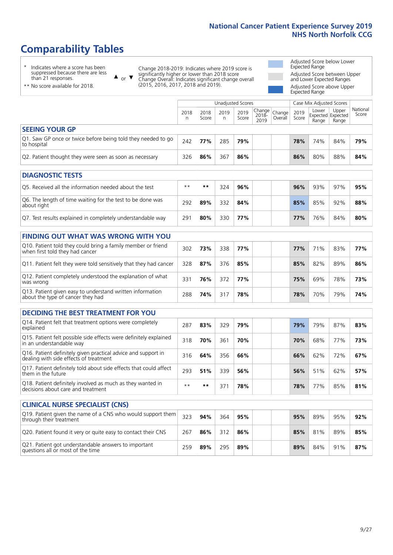# **Comparability Tables**

\* Indicates where a score has been suppressed because there are less than 21 responses.

\*\* No score available for 2018.

 $\triangle$  or  $\nabla$ 

Change 2018-2019: Indicates where 2019 score is significantly higher or lower than 2018 score Change Overall: Indicates significant change overall (2015, 2016, 2017, 2018 and 2019).

Adjusted Score below Lower Expected Range Adjusted Score between Upper and Lower Expected Ranges Adjusted Score above Upper Expected Range

|                                                                             |           |               | Unadjusted Scores |               |                                                  |         |               | Case Mix Adjusted Scores            |                |                   |
|-----------------------------------------------------------------------------|-----------|---------------|-------------------|---------------|--------------------------------------------------|---------|---------------|-------------------------------------|----------------|-------------------|
|                                                                             | 2018<br>n | 2018<br>Score | 2019<br>n         | 2019<br>Score | $\sqrt{(\text{Change})}$ Change<br>2018-<br>2019 | Overall | 2019<br>Score | Lower<br>Expected Expected<br>Range | Upper<br>Range | National<br>Score |
| <b>SEEING YOUR GP</b>                                                       |           |               |                   |               |                                                  |         |               |                                     |                |                   |
| Q1. Saw GP once or twice before being told they needed to go<br>to hospital | 242       | 77%           | 285               | 79%           |                                                  |         | 78%           | 74%                                 | 84%            | 79%               |
| Q2. Patient thought they were seen as soon as necessary                     | 326       | 86%           | 367               | 86%           |                                                  |         | 86%           | 80%                                 | 88%            | 84%               |
| <b>DIAGNOSTIC TESTS</b>                                                     |           |               |                   |               |                                                  |         |               |                                     |                |                   |

| O5. Received all the information needed about the test                    | $**$ | **  | 324 | 96% |  | 96% | 93% | 97% | 95% |
|---------------------------------------------------------------------------|------|-----|-----|-----|--|-----|-----|-----|-----|
| Q6. The length of time waiting for the test to be done was<br>about right | 292  | 89% | 332 | 84% |  | 85% | 85% | 92% | 88% |
| Q7. Test results explained in completely understandable way               | 291  | 80% | 330 | 77% |  | 77% | 76% | 84% | 80% |

| <b>FINDING OUT WHAT WAS WRONG WITH YOU</b>                                                      |     |     |     |     |     |     |     |     |
|-------------------------------------------------------------------------------------------------|-----|-----|-----|-----|-----|-----|-----|-----|
| Q10. Patient told they could bring a family member or friend<br>when first told they had cancer | 302 | 73% | 338 | 77% | 77% | 71% | 83% | 77% |
| Q11. Patient felt they were told sensitively that they had cancer                               | 328 | 87% | 376 | 85% | 85% | 82% | 89% | 86% |
| Q12. Patient completely understood the explanation of what<br>was wrong                         | 331 | 76% | 372 | 77% | 75% | 69% | 78% | 73% |
| Q13. Patient given easy to understand written information<br>about the type of cancer they had  | 288 | 74% | 317 | 78% | 78% | 70% | 79% | 74% |

| <b>DECIDING THE BEST TREATMENT FOR YOU</b>                                                              |      |     |     |     |  |     |     |     |     |
|---------------------------------------------------------------------------------------------------------|------|-----|-----|-----|--|-----|-----|-----|-----|
| Q14. Patient felt that treatment options were completely<br>explained                                   | 287  | 83% | 329 | 79% |  | 79% | 79% | 87% | 83% |
| Q15. Patient felt possible side effects were definitely explained<br>in an understandable way           | 318  | 70% | 361 | 70% |  | 70% | 68% | 77% | 73% |
| Q16. Patient definitely given practical advice and support in<br>dealing with side effects of treatment | 316  | 64% | 356 | 66% |  | 66% | 62% | 72% | 67% |
| Q17. Patient definitely told about side effects that could affect<br>them in the future                 | 293  | 51% | 339 | 56% |  | 56% | 51% | 62% | 57% |
| Q18. Patient definitely involved as much as they wanted in<br>decisions about care and treatment        | $**$ | **  | 371 | 78% |  | 78% | 77% | 85% | 81% |

| <b>CLINICAL NURSE SPECIALIST (CNS)</b>                                                    |     |     |     |     |  |     |     |     |     |
|-------------------------------------------------------------------------------------------|-----|-----|-----|-----|--|-----|-----|-----|-----|
| Q19. Patient given the name of a CNS who would support them<br>through their treatment    | 323 | 94% | 364 | 95% |  | 95% | 89% | 95% | 92% |
| Q20. Patient found it very or quite easy to contact their CNS                             | 267 | 86% | 312 | 86% |  | 85% | 81% | 89% | 85% |
| Q21. Patient got understandable answers to important<br>questions all or most of the time | 259 | 89% | 295 | 89% |  | 89% | 84% | 91% | 87% |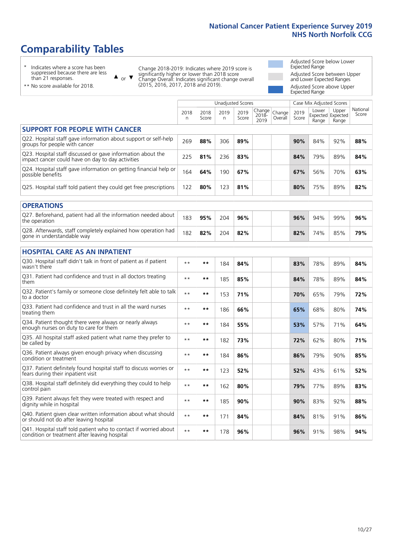# **Comparability Tables**

\* Indicates where a score has been suppressed because there are less than 21 responses.

\*\* No score available for 2018.

 $\triangle$  or  $\nabla$ 

Change 2018-2019: Indicates where 2019 score is significantly higher or lower than 2018 score Change Overall: Indicates significant change overall (2015, 2016, 2017, 2018 and 2019).

Adjusted Score below Lower Expected Range Adjusted Score between Upper and Lower Expected Ranges Adjusted Score above Upper Expected Range

|                                                                                                                   |              |               | <b>Unadjusted Scores</b> |               |                         |                   |               | Case Mix Adjusted Scores |                                     |                   |
|-------------------------------------------------------------------------------------------------------------------|--------------|---------------|--------------------------|---------------|-------------------------|-------------------|---------------|--------------------------|-------------------------------------|-------------------|
|                                                                                                                   | 2018<br>n    | 2018<br>Score | 2019<br>n                | 2019<br>Score | Change<br>2018-<br>2019 | Change<br>Overall | 2019<br>Score | Lower<br>Range           | Upper<br>Expected Expected<br>Range | National<br>Score |
| <b>SUPPORT FOR PEOPLE WITH CANCER</b>                                                                             |              |               |                          |               |                         |                   |               |                          |                                     |                   |
| Q22. Hospital staff gave information about support or self-help<br>groups for people with cancer                  | 269          | 88%           | 306                      | 89%           |                         |                   | 90%           | 84%                      | 92%                                 | 88%               |
| Q23. Hospital staff discussed or gave information about the<br>impact cancer could have on day to day activities  | 225          | 81%           | 236                      | 83%           |                         |                   | 84%           | 79%                      | 89%                                 | 84%               |
| Q24. Hospital staff gave information on getting financial help or<br>possible benefits                            | 164          | 64%           | 190                      | 67%           |                         |                   | 67%           | 56%                      | 70%                                 | 63%               |
| Q25. Hospital staff told patient they could get free prescriptions                                                | 122          | 80%           | 123                      | 81%           |                         |                   | 80%           | 75%                      | 89%                                 | 82%               |
| <b>OPERATIONS</b>                                                                                                 |              |               |                          |               |                         |                   |               |                          |                                     |                   |
| Q27. Beforehand, patient had all the information needed about<br>the operation                                    | 183          | 95%           | 204                      | 96%           |                         |                   | 96%           | 94%                      | 99%                                 | 96%               |
| Q28. Afterwards, staff completely explained how operation had<br>gone in understandable way                       | 182          | 82%           | 204                      | 82%           |                         |                   | 82%           | 74%                      | 85%                                 | 79%               |
| <b>HOSPITAL CARE AS AN INPATIENT</b>                                                                              |              |               |                          |               |                         |                   |               |                          |                                     |                   |
| Q30. Hospital staff didn't talk in front of patient as if patient<br>wasn't there                                 | $* *$        | **            | 184                      | 84%           |                         |                   | 83%           | 78%                      | 89%                                 | 84%               |
| Q31. Patient had confidence and trust in all doctors treating<br>them                                             | $\star\star$ | **            | 185                      | 85%           |                         |                   | 84%           | 78%                      | 89%                                 | 84%               |
| Q32. Patient's family or someone close definitely felt able to talk<br>to a doctor                                | $**$         | **            | 153                      | 71%           |                         |                   | 70%           | 65%                      | 79%                                 | 72%               |
| Q33. Patient had confidence and trust in all the ward nurses<br>treating them                                     | $**$         | **            | 186                      | 66%           |                         |                   | 65%           | 68%                      | 80%                                 | 74%               |
| Q34. Patient thought there were always or nearly always<br>enough nurses on duty to care for them                 | $**$         | **            | 184                      | 55%           |                         |                   | 53%           | 57%                      | 71%                                 | 64%               |
| Q35. All hospital staff asked patient what name they prefer to<br>be called by                                    | $**$         | **            | 182                      | 73%           |                         |                   | 72%           | 62%                      | 80%                                 | 71%               |
| Q36. Patient always given enough privacy when discussing<br>condition or treatment                                | $**$         | **            | 184                      | 86%           |                         |                   | 86%           | 79%                      | 90%                                 | 85%               |
| Q37. Patient definitely found hospital staff to discuss worries or<br>fears during their inpatient visit          | $**$         | **            | 123                      | 52%           |                         |                   | 52%           | 43%                      | 61%                                 | 52%               |
| Q38. Hospital staff definitely did everything they could to help<br>control pain                                  | $\star\star$ | $***$         | 162                      | 80%           |                         |                   | 79%           | 77%                      | 89%                                 | 83%               |
| Q39. Patient always felt they were treated with respect and<br>dignity while in hospital                          | $\star\star$ | **            | 185                      | 90%           |                         |                   | 90%           | 83%                      | 92%                                 | 88%               |
| Q40. Patient given clear written information about what should<br>or should not do after leaving hospital         | $**$         | **            | 171                      | 84%           |                         |                   | 84%           | 81%                      | 91%                                 | 86%               |
| Q41. Hospital staff told patient who to contact if worried about<br>condition or treatment after leaving hospital | $**$         | **            | 178                      | 96%           |                         |                   | 96%           | 91%                      | 98%                                 | 94%               |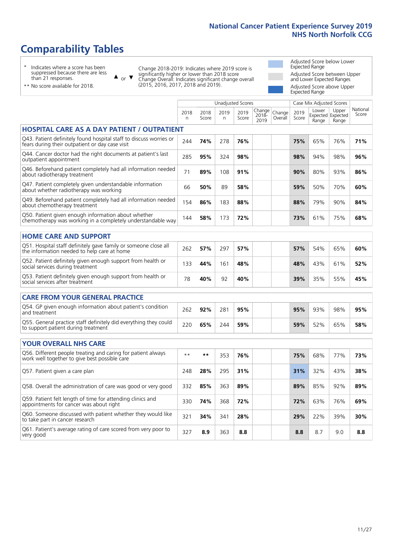# **Comparability Tables**

\* Indicates where a score has been suppressed because there are less than 21 responses.

\*\* No score available for 2018.

 $\triangle$  or  $\nabla$ 

Change 2018-2019: Indicates where 2019 score is significantly higher or lower than 2018 score Change Overall: Indicates significant change overall (2015, 2016, 2017, 2018 and 2019).

Adjusted Score below Lower Expected Range Adjusted Score between Upper and Lower Expected Ranges Adjusted Score above Upper Expected Range

|                                                                                                                       |           |               | <b>Unadjusted Scores</b> |               |                         |                   |               | Case Mix Adjusted Scores |                                     |                   |
|-----------------------------------------------------------------------------------------------------------------------|-----------|---------------|--------------------------|---------------|-------------------------|-------------------|---------------|--------------------------|-------------------------------------|-------------------|
|                                                                                                                       | 2018<br>n | 2018<br>Score | 2019<br>n                | 2019<br>Score | Change<br>2018-<br>2019 | Change<br>Overall | 2019<br>Score | Lower<br>Range           | Upper<br>Expected Expected<br>Range | National<br>Score |
| <b>HOSPITAL CARE AS A DAY PATIENT / OUTPATIENT</b>                                                                    |           |               |                          |               |                         |                   |               |                          |                                     |                   |
| Q43. Patient definitely found hospital staff to discuss worries or<br>fears during their outpatient or day case visit | 244       | 74%           | 278                      | 76%           |                         |                   | 75%           | 65%                      | 76%                                 | 71%               |
| Q44. Cancer doctor had the right documents at patient's last<br>outpatient appointment                                | 285       | 95%           | 324                      | 98%           |                         |                   | 98%           | 94%                      | 98%                                 | 96%               |
| Q46. Beforehand patient completely had all information needed<br>about radiotherapy treatment                         | 71        | 89%           | 108                      | 91%           |                         |                   | 90%           | 80%                      | 93%                                 | 86%               |
| Q47. Patient completely given understandable information<br>about whether radiotherapy was working                    | 66        | 50%           | 89                       | 58%           |                         |                   | 59%           | 50%                      | 70%                                 | 60%               |
| Q49. Beforehand patient completely had all information needed<br>about chemotherapy treatment                         | 154       | 86%           | 183                      | 88%           |                         |                   | 88%           | 79%                      | 90%                                 | 84%               |
| Q50. Patient given enough information about whether<br>chemotherapy was working in a completely understandable way    | 144       | 58%           | 173                      | 72%           |                         |                   | 73%           | 61%                      | 75%                                 | 68%               |
| <b>HOME CARE AND SUPPORT</b>                                                                                          |           |               |                          |               |                         |                   |               |                          |                                     |                   |
| Q51. Hospital staff definitely gave family or someone close all<br>the information needed to help care at home        | 262       | 57%           | 297                      | 57%           |                         |                   | 57%           | 54%                      | 65%                                 | 60%               |
| Q52. Patient definitely given enough support from health or<br>social services during treatment                       | 133       | 44%           | 161                      | 48%           |                         |                   | 48%           | 43%                      | 61%                                 | 52%               |
| Q53. Patient definitely given enough support from health or<br>social services after treatment                        | 78        | 40%           | 92                       | 40%           |                         |                   | 39%           | 35%                      | 55%                                 | 45%               |
| <b>CARE FROM YOUR GENERAL PRACTICE</b>                                                                                |           |               |                          |               |                         |                   |               |                          |                                     |                   |
| Q54. GP given enough information about patient's condition<br>and treatment                                           | 262       | 92%           | 281                      | 95%           |                         |                   | 95%           | 93%                      | 98%                                 | 95%               |
| Q55. General practice staff definitely did everything they could<br>to support patient during treatment               | 220       | 65%           | 244                      | 59%           |                         |                   | 59%           | 52%                      | 65%                                 | 58%               |
| YOUR OVERALL NHS CARE                                                                                                 |           |               |                          |               |                         |                   |               |                          |                                     |                   |
| Q56. Different people treating and caring for patient always                                                          | $* *$     | $***$         |                          |               |                         |                   |               |                          |                                     |                   |
| work well together to give best possible care                                                                         |           |               | 353                      | 76%           |                         |                   | 75%           | 68%                      | 77%                                 | 73%               |
| Q57. Patient given a care plan                                                                                        | 248       | 28%           | 295                      | 31%           |                         |                   | 31%           | 32%                      | 43%                                 | 38%               |
| Q58. Overall the administration of care was good or very good                                                         | 332       | 85%           | 363                      | 89%           |                         |                   | 89%           | 85%                      | 92%                                 | 89%               |
| Q59. Patient felt length of time for attending clinics and<br>appointments for cancer was about right                 | 330       | 74%           | 368                      | 72%           |                         |                   | 72%           | 63%                      | 76%                                 | 69%               |
| Q60. Someone discussed with patient whether they would like<br>to take part in cancer research                        | 321       | 34%           | 341                      | 28%           |                         |                   | 29%           | 22%                      | 39%                                 | 30%               |
| Q61. Patient's average rating of care scored from very poor to<br>very good                                           | 327       | 8.9           | 363                      | 8.8           |                         |                   | 8.8           | 8.7                      | 9.0                                 | 8.8               |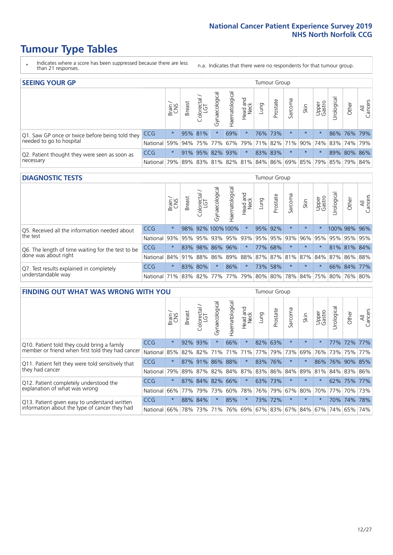- \* Indicates where a score has been suppressed because there are less than 21 responses.
- n.a. Indicates that there were no respondents for that tumour group.

| <b>SEEING YOUR GP</b>                           |            |         |               |                 |                   |                |                  |      | Tumour Group |         |         |                 |                                                 |             |                |
|-------------------------------------------------|------------|---------|---------------|-----------------|-------------------|----------------|------------------|------|--------------|---------|---------|-----------------|-------------------------------------------------|-------------|----------------|
|                                                 |            | Brain   | <b>Breast</b> | Colorectal      | ত<br>Gynaecologic | Haematological | Head and<br>Neck | Lung | Prostate     | Sarcoma | Skin    | Upper<br>Gastro | $\sigma$<br>Jrologica                           | Other       | All<br>Cancers |
| Q1. Saw GP once or twice before being told they | <b>CCG</b> | $\star$ |               | 95% 81%         |                   | 69%            | $\ast$           |      | 76% 73%      |         | $\star$ |                 |                                                 | 86% 76% 79% |                |
| needed to go to hospital                        | National   | 59%     |               | 94% 75% 77%     |                   |                |                  |      |              |         |         |                 | 67% 79% 71% 82% 71% 90% 74% 83% 74% 79%         |             |                |
| Q2. Patient thought they were seen as soon as   | <b>CCG</b> | $\star$ |               | 91% 95% 82% 93% |                   |                | $\star$          |      | 83% 83%      |         | $\star$ |                 |                                                 | 89% 80% 86% |                |
| necessary                                       | National   | 79%     |               |                 |                   |                |                  |      |              |         |         |                 | 89% 83% 81% 82% 81% 84% 86% 69% 85% 79% 85% 79% |             | 84%            |

#### **DIAGNOSTIC TESTS** Tumour Group

|                                                   |                                                                  | Brain<br>CNS | <b>Breast</b> | olorectal<br>LGT<br>$\cup$ | $\overline{\sigma}$<br>Gynaecologic | Haematologica       | Head and<br>Neck | <b>Dung</b> | Prostate | Sarcoma | Skin     | Upper<br>Gastro | Irological                                              | Other       | All<br>Cancers |
|---------------------------------------------------|------------------------------------------------------------------|--------------|---------------|----------------------------|-------------------------------------|---------------------|------------------|-------------|----------|---------|----------|-----------------|---------------------------------------------------------|-------------|----------------|
| Q5. Received all the information needed about     | CCG                                                              | $\star$      |               |                            |                                     | 98% 92% 100% 100%   | $\ast$           |             | 95% 92%  |         | $\star$  |                 | 100% 98% 96%                                            |             |                |
| the test                                          | National                                                         | 93%          |               | 95% 95%                    |                                     | 93% 95% 93% 95% 95% |                  |             |          | 93%     | $ 96\% $ |                 | 95% 95% 95% 95%                                         |             |                |
| Q6. The length of time waiting for the test to be | <b>CCG</b>                                                       | $\star$      |               | 83% 98%                    |                                     | 86% 96%             | $\star$          |             | 77% 68%  |         | $\star$  | $\star$         |                                                         | 81% 81% 84% |                |
| done was about right                              | National                                                         |              |               |                            |                                     |                     |                  |             |          |         |          |                 | 84% 91% 88% 86% 89% 88% 87% 87% 81% 87% 84% 87% 86% 88% |             |                |
| Q7. Test results explained in completely          | <b>CCG</b>                                                       | $\star$      |               | 83% 80%                    | $\star$                             | 86%                 | $\star$          | 73%         | 58%      | $\star$ | $\star$  | $\star$         |                                                         |             | 66% 84% 77%    |
| understandable way                                | National 71% 83% 82% 77% 77% 79% 80% 80% 78% 84% 75% 80% 76% 80% |              |               |                            |                                     |                     |                  |             |          |         |          |                 |                                                         |             |                |

| <b>FINDING OUT WHAT WAS WRONG WITH YOU</b>        |          |         |               |                       |                |               |                  |                 | Tumour Group |         |         |                 |            |             |                |
|---------------------------------------------------|----------|---------|---------------|-----------------------|----------------|---------------|------------------|-----------------|--------------|---------|---------|-----------------|------------|-------------|----------------|
|                                                   |          | Brain   | <b>Breast</b> | olorectal<br>LGT<br>Ū | Gynaecological | Haematologica | Head and<br>Neck | Lung            | Prostate     | Sarcoma | Skin    | Upper<br>Gastro | Irological | Other       | All<br>Cancers |
| Q10. Patient told they could bring a family       | CCG      | $\star$ | 92%           | 93%                   |                | 66%           | $\star$          | 82%             | 63%          | $\star$ | $\star$ | $\star$         |            | 77% 72% 77% |                |
| member or friend when first told they had cancer  | National | 85%     | 82%           | 82%                   | 71%            | 71%           | 71%              | 77%             | 79%          | 73%     | 69%     | 76%             | 73%        | 75%         | 77%            |
| Q11. Patient felt they were told sensitively that | CCG      | $\star$ | 87%           | 91%                   | 86%            | 88%           | $\star$          | 83% 76%         |              | $\ast$  | $\star$ | 86%             | 76%        | 90%         | 85%            |
| they had cancer                                   | National | 79%     |               |                       | 89% 87% 82%    | 84% 87%       |                  | 83% 86%         |              | 84%     |         | 89% 81%         |            | 84% 83%     | 86%            |
| Q12. Patient completely understood the            | CCG      | $\star$ |               | 87% 84% 82%           |                | 66%           | $\star$          | 63% 73%         |              | $\ast$  | $\star$ |                 |            | 62% 75% 77% |                |
| explanation of what was wrong                     | National | 66%     | 77%           | 79%                   | 73%            | 60%           | 78%              | 76% 79%         |              | 67%     | 80%     | 70%             | 77%        | 70%         | 73%            |
| Q13. Patient given easy to understand written     | CCG      | $\star$ | 88% 84%       |                       |                | 85%           | $\star$          |                 | 73% 72%      | $\ast$  | $\star$ | $\star$         |            | 70% 74%     | 78%            |
| information about the type of cancer they had     | National | 66%     | 78%           | 73%                   | 71%            | 76%           | 69%              | 67% 83% 67% 84% |              |         |         | 67%             | 74%        | 65%         | 74%            |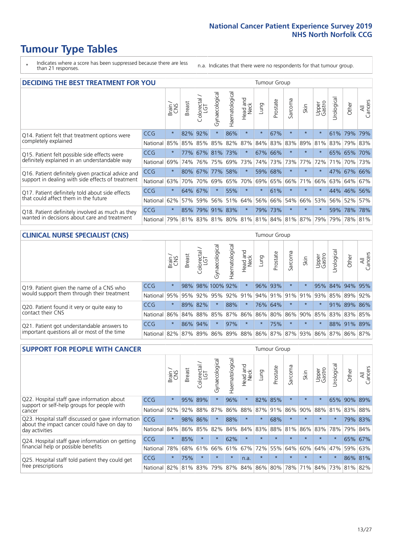- \* Indicates where a score has been suppressed because there are less than 21 responses.
- n.a. Indicates that there were no respondents for that tumour group.

|                                                    | <b>DECIDING THE BEST TREATMENT FOR YOU</b> |         |               |                             |                |                |                  |         |          | <b>Tumour Group</b> |                                     |                 |            |             |                |
|----------------------------------------------------|--------------------------------------------|---------|---------------|-----------------------------|----------------|----------------|------------------|---------|----------|---------------------|-------------------------------------|-----------------|------------|-------------|----------------|
|                                                    |                                            | Brain   | <b>Breast</b> | blorectal.<br>LGT<br>$\cup$ | Gynaecological | Haematological | Head and<br>Neck | Lung    | Prostate | Sarcoma             | Skin                                | Upper<br>Gastro | Jrological | Other       | All<br>Cancers |
| Q14. Patient felt that treatment options were      | CCG                                        | $\star$ | 82%           | 92%                         | $\star$        | 86%            | $\star$          | $\star$ | 67%      | $\star$             | $\star$                             | $\star$         | 61%        | 79%         | 79%            |
| completely explained                               | National                                   | 85%     | 85%           | 85%                         | 85%            | 82%            | 87%              |         | 84% 83%  | 83%                 | 89%                                 | 81%             |            | 83% 79% 83% |                |
| Q15. Patient felt possible side effects were       | <b>CCG</b>                                 | $\star$ | 77%           | 67%                         | 81%            | 73%            | $\star$          |         | 67% 66%  | $\star$             |                                     | $\star$         |            | 65% 65%     | 170%           |
| definitely explained in an understandable way      | National                                   | 69%     | 74%           | 76%                         | 75%            | 69%            | 73%              |         | 74% 73%  | 73%                 | 77%                                 | 72%             | 71%        | 70%         | 73%            |
| Q16. Patient definitely given practical advice and | <b>CCG</b>                                 | $\star$ | 80%           | 67%                         | 77%            | 58%            | $\star$          |         | 59% 68%  | $^\star$            |                                     | $\star$         |            | 47% 67%     | 66%            |
| support in dealing with side effects of treatment  | National                                   | 63%     | 70%           | 70%                         | 69%            | 65%            | 70%              | 69%     | 65%      | 66%                 | 71%                                 | 66%             |            | 63% 64%     | 67%            |
| Q17. Patient definitely told about side effects    | CCG                                        | $\star$ | 64%           | 67%                         |                | 55%            | $\star$          | $\star$ | 61%      | $\star$             | $\star$                             | $\star$         |            | 44% 46%     | 56%            |
| that could affect them in the future               | National                                   | 62%     | 57%           | 59%                         | 56%            | 51%            | 64%              | 56%     | 66%      | 54%                 | 66%                                 | 53%             |            | 56% 52%     | 57%            |
| Q18. Patient definitely involved as much as they   | CCG                                        | $\star$ | 85%           |                             | 79% 91% 83%    |                | $\star$          |         | 79% 73%  | $\star$             | $\star$                             | $\star$         | 59%        | 78% 78%     |                |
| wanted in decisions about care and treatment       | National                                   | 79%     |               |                             |                |                |                  |         |          |                     | 81% 83% 81% 80% 81% 81% 84% 81% 87% | 79%             |            | 79% 78% 81% |                |

#### **CLINICAL NURSE SPECIALIST (CNS)** Tumour Group

|                                             |          | Brain   | <b>Breast</b> | Colorectal<br>LGT | Gynaecologica   | శా<br>aematologi | Head and<br>Neck | Lung        | Prostate | Sarcoma | Skin            | Upper<br>Gastro | rological                       | Other           | All<br>Cancers |
|---------------------------------------------|----------|---------|---------------|-------------------|-----------------|------------------|------------------|-------------|----------|---------|-----------------|-----------------|---------------------------------|-----------------|----------------|
| Q19. Patient given the name of a CNS who    | CCG      | $\star$ | 98%           |                   | 98% 100% 92%    |                  | $\star$          | 96% 93%     |          | $\star$ |                 |                 |                                 | 95% 84% 94% 95% |                |
| would support them through their treatment  | National | 95%     | 95%           | 92%               | 95%             | 92%              | 91%              |             |          |         | 94% 91% 91% 91% | 93%             | 85%                             | 89%             | 92%            |
| Q20. Patient found it very or quite easy to | CCG      | $\star$ |               | 89% 82%           |                 | 88%              | $\star$          |             | 76% 64%  |         | $\star$         | $\star$         | 91%                             | 89%             | 86%            |
| contact their CNS                           | National |         |               |                   | 86% 84% 88% 85% | 87%              |                  | 86% 86% 80% |          |         |                 | 86% 90% 85%     |                                 | 83% 83%         | 85%            |
| Q21. Patient got understandable answers to  | CCG      | $\star$ | 86%           | 94%               |                 | 97%              | $\star$          | $\star$     | 75%      | $\star$ | $\star$         | $\star$         |                                 | 88% 91%         | 89%            |
| important questions all or most of the time | National |         |               |                   | 82% 87% 89% 86% |                  |                  |             |          |         |                 |                 | 89% 88% 86% 87% 87% 93% 86% 87% | 86%             | 87%            |

| <b>SUPPORT FOR PEOPLE WITH CANCER</b>                                                             |            |         |               |                             |                |                |                         |             | Tumour Group |              |         |                 |            |         |                |
|---------------------------------------------------------------------------------------------------|------------|---------|---------------|-----------------------------|----------------|----------------|-------------------------|-------------|--------------|--------------|---------|-----------------|------------|---------|----------------|
|                                                                                                   |            | Brain   | <b>Breast</b> | blorectal.<br>LGT<br>$\cup$ | Gynaecological | Haematological | ead and<br>Neck<br>Head | <b>Dung</b> | Prostate     | arcoma<br>vĀ | Skin    | Upper<br>Gastro | Urological | Other   | All<br>Cancers |
| Q22. Hospital staff gave information about<br>support or self-help groups for people with         | CCG        | $\star$ | 95%           | 89%                         | $\star$        | 96%            | $\star$                 | 82%         | 85%          | $\star$      | $\star$ | $\star$         | 65%        | 90%     | 89%            |
| cancer                                                                                            | National   | 92%     | 92%           | 88%                         | 87%            | 86%            | 88%                     | 87%         | 91%          | 86%          | 90%     | 88%             | 81%        | 83%     | 88%            |
| Q23. Hospital staff discussed or gave information<br>about the impact cancer could have on day to | <b>CCG</b> | $\star$ | 98%           | 86%                         | $\star$        | 88%            | $\star$                 | $\star$     | 68%          | 大            | $\star$ | $\star$         | $\star$    | 79%     | 83%            |
| day activities                                                                                    | National   | 84%     |               | 86% 85%                     | 82%            | 84%            | 84%                     | 83%         | 88%          | 81%          | 86%     | 83%             | 78%        | 79%     | 84%            |
| Q24. Hospital staff gave information on getting                                                   | <b>CCG</b> | $\star$ | 85%           | $\star$                     | $\star$        | 62%            | $\star$                 | $\star$     | $\star$      | $\star$      | $\star$ | $\star$         | $\star$    | 65%     | 67%            |
| financial help or possible benefits                                                               | National   | 78%     | 68%           | 61%                         | 66%            | 61%            | 67%                     | 72%         | 55%          | 64%          | 60%     | 64%             | 47%        | 59%     | 63%            |
| Q25. Hospital staff told patient they could get                                                   | CCG        | $\star$ | 75%           | $\star$                     | $\star$        | $\star$        | n.a.                    | $\star$     | $\star$      | 大            | $\star$ | $\star$         | $\star$    | 86% 81% |                |
| free prescriptions                                                                                | National   | 82%     | 81%           | 83%                         | 79%            | 87%            | 84%                     | 86%         | 80%          | 78%          | 71%     | 84%             | 73%        | 81%     | 82%            |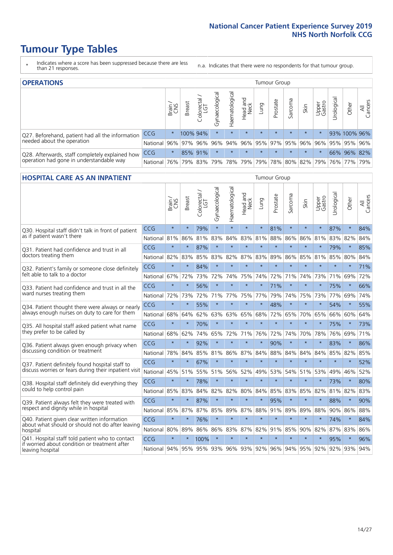- \* Indicates where a score has been suppressed because there are less than 21 responses.
- n.a. Indicates that there were no respondents for that tumour group.

| <b>OPERATIONS</b>                                |              |              |               |                   |                |                     |                  |         | Tumour Group |         |         |                             |            |                                                         |                |
|--------------------------------------------------|--------------|--------------|---------------|-------------------|----------------|---------------------|------------------|---------|--------------|---------|---------|-----------------------------|------------|---------------------------------------------------------|----------------|
|                                                  |              | Brain<br>CNS | <b>Breast</b> | Colorectal<br>LGT | Gynaecological | Haematological      | Head and<br>Neck | Lung    | Prostate     | Sarcoma | Skin    | Upper<br>Gastro             | Urological | Other                                                   | All<br>Cancers |
| Q27. Beforehand, patient had all the information | CCG          | $\star$      |               | 100% 94%          | $\star$        | $\star$             | $\star$          | $\star$ | $\star$      | $\star$ | $\star$ | $\star$                     |            | 93% 100% 96%                                            |                |
| needed about the operation                       | National I   |              |               |                   |                |                     |                  |         |              |         |         |                             |            | 96% 97% 96% 96% 94% 96% 95% 97% 95% 96% 96% 95% 95% 96% |                |
| Q28. Afterwards, staff completely explained how  | <b>CCG</b>   | $\star$      |               | 85% 91%           | $\star$        |                     | $\star$          | $\star$ | $\star$      | $\star$ | $\star$ | $\star$                     |            | 66% 96% 82%                                             |                |
| operation had gone in understandable way         | National 76% |              |               |                   |                | 79% 83% 79% 78% 79% |                  |         |              |         |         | 79%   78%   80%   82%   79% |            | 76% 77% 79%                                             |                |

#### **HOSPITAL CARE AS AN INPATIENT** Tumour Group

|                                                                                                  |            | Brain   | Breast  | Colorectal /<br>LGT | Gynaecological | Haematological | Head and<br>Neck | Lung    | Prostate | Sarcoma | Skin            | Upper<br>Gastro | Urological | Other   | All<br>Cancers |
|--------------------------------------------------------------------------------------------------|------------|---------|---------|---------------------|----------------|----------------|------------------|---------|----------|---------|-----------------|-----------------|------------|---------|----------------|
| Q30. Hospital staff didn't talk in front of patient                                              | CCG        | $\star$ | $\star$ | 79%                 | $\star$        | $\star$        | $\star$          | $\star$ | 81%      | $\star$ | $\star$         | $\star$         | 87%        | $\star$ | 84%            |
| as if patient wasn't there                                                                       | National   | 81%     | 86%     | 81%                 | 83%            | 84%            | 83%              | 81%     | 88%      | 86%     | 86%             | 81%             | 83%        | 82%     | 84%            |
| 031. Patient had confidence and trust in all                                                     | CCG        | $\star$ | $\star$ | 87%                 | $\star$        | $\star$        | $\star$          | $\star$ | $\star$  | $\star$ | $\star$         |                 | 79%        | $\star$ | 85%            |
| doctors treating them                                                                            | National   | 82%     | 83%     | 85%                 | 83%            | 82%            |                  | 87% 83% | 89%      | 86%     | 85%             | 81%             | 85%        | 80%     | 84%            |
| Q32. Patient's family or someone close definitely                                                | CCG        | $\star$ | $\star$ | 84%                 | $\star$        | $\star$        | $\star$          | $\star$ | $\star$  | $\star$ | $\star$         | $\star$         | $\star$    | $\star$ | 71%            |
| felt able to talk to a doctor                                                                    | National   | 67%     | 72%     | 73%                 | 72%            | 74%            | 75%              | 74%     | 72%      | 71%     | 74%             | 73%             | 71%        | 69%     | 72%            |
| Q33. Patient had confidence and trust in all the                                                 | CCG        | $\star$ | $\star$ | 56%                 | $\star$        | $\star$        | $\star$          | $\star$ | 71%      | $\star$ | $\star$         | $\star$         | 75%        | $\star$ | 66%            |
| ward nurses treating them                                                                        | National   | 72%     | 73%     | 72%                 | 71%            | 77%            | 75%              | 77%     | 79%      | 74%     | 75%             | 73%             | 77%        | 69%     | 74%            |
| Q34. Patient thought there were always or nearly                                                 | CCG        | $\star$ | $\star$ | 55%                 | $\star$        | $\star$        | $\star$          | $\star$ | 48%      | $\star$ | $\star$         | $\star$         | 54%        | $\star$ | 55%            |
| always enough nurses on duty to care for them                                                    | National   | 68%     | 64%     | 62%                 | 63%            | 63%            | 65%              | 68%     | 72%      | 65%     | 70%             | 65%             | 66%        | 60%     | 64%            |
| Q35. All hospital staff asked patient what name                                                  | CCG        | $\star$ | $\star$ | 70%                 | $\star$        | $\star$        | $\star$          | $\star$ | $\star$  | $\star$ | $\star$         | $\star$         | 75%        | $\star$ | 73%            |
| they prefer to be called by                                                                      | National   | 68%     | 62%     | 74%                 | 65%            | 72%            | 71%              | 76%     | 72%      | 74%     | 70%             | 78%             | 76%        | 69%     | 71%            |
| Q36. Patient always given enough privacy when                                                    | CCG        | $\star$ | $\star$ | 92%                 | $\star$        | $\star$        | $\star$          | $\star$ | 90%      | $\star$ | $\star$         |                 | 83%        | $\star$ | 86%            |
| discussing condition or treatment                                                                | National   | 78%     | 84%     | 85%                 | 81%            | 86%            |                  | 87% 84% | 88%      | 84%     | 84%             | 84%             | 85%        | 82%     | 85%            |
| Q37. Patient definitely found hospital staff to                                                  | CCG        | $\star$ | $\star$ | 67%                 | $\star$        | $\star$        | $\star$          | $\star$ | $\star$  | $\star$ | $\frac{1}{2}$   | ÷               | $\star$    | $\star$ | 52%            |
| discuss worries or fears during their inpatient visit                                            | National   | 45%     | 51%     | 55%                 | 51%            | 56%            | 52%              | 49%     | 53%      | 54%     | 51%             | 53%             | 49%        | 46%     | 52%            |
| Q38. Hospital staff definitely did everything they                                               | CCG        | $\star$ | $\star$ | 78%                 | $\star$        | $\star$        | $\star$          | $\star$ | $\star$  | $\star$ | $\star$         | $\star$         | 73%        | $\star$ | 80%            |
| could to help control pain                                                                       | National   | 85%     | 83%     | 84%                 | 82%            | 82%            | 80%              | 84%     | 85%      | 83%     | 85%             | 82%             | 81%        | 82%     | 83%            |
| Q39. Patient always felt they were treated with                                                  | CCG        | $\star$ | $\star$ | 87%                 | $\star$        | $\star$        | $\star$          | $\star$ | 95%      | $\star$ | $\star$         |                 | 88%        | $\star$ | 90%            |
| respect and dignity while in hospital                                                            | National   | 85%     | 87%     | 87%                 | 85%            | 89%            |                  | 87% 88% | 91%      | 89%     | 89%             | 88%             |            | 90% 86% | 88%            |
| Q40. Patient given clear written information<br>about what should or should not do after leaving | CCG        | $\star$ | $\star$ | 76%                 | $\star$        | $\star$        | $\star$          | $\star$ | $\star$  | $\star$ | $\star$         | $\star$         | 74%        | $\star$ | 84%            |
| hospital                                                                                         | National   | 80%     | 89%     | 86%                 | 86%            | 83%            |                  | 87% 82% | 91%      | 85%     | 90%             | 82%             | 87%        | 83%     | 86%            |
| Q41. Hospital staff told patient who to contact<br>if worried about condition or treatment after | CCG        | $\star$ | $\star$ | 100%                | $\star$        | $\star$        | $\star$          | $\star$ | $\star$  | $\star$ | $\star$         | $\star$         | 95%        | $\star$ | 96%            |
| leaving hospital                                                                                 | National I | 94%     | 95%     | 95% 93% 96% 93% 92% |                |                |                  |         |          |         | 96% 94% 95% 92% |                 |            | 92% 93% | 94%            |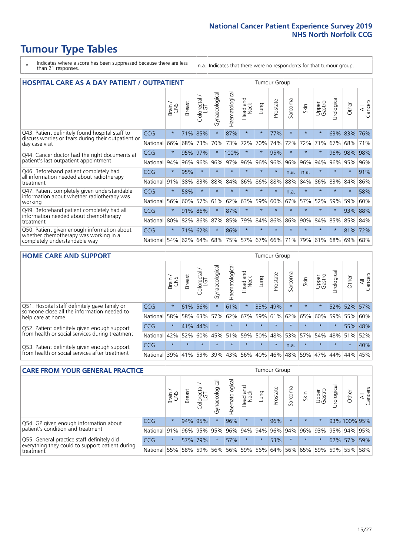# **Tumour Type Tables**

- \* Indicates where a score has been suppressed because there are less than 21 responses.
- n.a. Indicates that there were no respondents for that tumour group.

| <b>HOSPITAL CARE AS A DAY PATIENT / OUTPATIENT</b><br>Tumour Group                                                    |            |         |               |                       |                |                |                                 |         |          |         |         |                 |            |         |                |
|-----------------------------------------------------------------------------------------------------------------------|------------|---------|---------------|-----------------------|----------------|----------------|---------------------------------|---------|----------|---------|---------|-----------------|------------|---------|----------------|
|                                                                                                                       |            | Brain   | <b>Breast</b> | olorectal<br>LGT<br>Ũ | Gynaecological | Haematological | <b>Bad and<br/>Neck</b><br>Head | Lung    | Prostate | Sarcoma | Skin    | Upper<br>Gastro | Urological | Other   | All<br>Cancers |
| Q43. Patient definitely found hospital staff to                                                                       | CCG        | $\star$ | 71%           | 85%                   | $\star$        | 87%            | $\star$                         | $\star$ | 77%      | $\star$ | $\star$ | $\star$         | 63%        | 83%     | 76%            |
| discuss worries or fears during their outpatient or<br>day case visit                                                 | National   | 66%     | 68%           | 73%                   | 70%            | 73%            | 72%                             | 70%     | 74%      | 72%     | 72%     | 71%             | 67%        | 68%     | 71%            |
| Q44. Cancer doctor had the right documents at<br>patient's last outpatient appointment                                | <b>CCG</b> | $\star$ | 95%           | 97%                   |                | 100%           | $\star$                         | $\star$ | 95%      | $\star$ |         | $\star$         | 96%        | 98%     | 98%            |
|                                                                                                                       | National   | 94%     | 96%           | 96%                   | 96%            | 97%            | 96%                             | 96%     | 96%      | 96%     | 96%     | 94%             | 96%        | 95%     | 96%            |
| Q46. Beforehand patient completely had                                                                                | CCG        | $\star$ | 95%           | $\star$               |                |                | $\star$                         | $\star$ | $\star$  | n.a.    | n.a.    | $\star$         | $\star$    | $\star$ | 91%            |
| all information needed about radiotherapy<br>treatment                                                                | National   | 91%     | 88%           | 83%                   | 88%            | 84%            | 86%                             | 86%     | 88%      | 88%     | 84%     | 86%             | 83%        | 84%     | 86%            |
| Q47. Patient completely given understandable<br>information about whether radiotherapy was<br>working                 | CCG        | $\star$ | 58%           | $\star$               | $\star$        |                | $\star$                         | $\star$ | $\star$  | n.a.    | $\star$ | $\star$         | $\star$    | $\star$ | 58%            |
|                                                                                                                       | National   | 56%     | 60%           | 57%                   | 61%            | 62%            | 63%                             | 59%     | 60%      | 67%     | 57%     | 52%             | 59%        | 59%     | 60%            |
| Q49. Beforehand patient completely had all                                                                            | CCG        | $\star$ | 91%           | 86%                   | $\star$        | 87%            | $\star$                         | $\star$ | $\star$  | $\star$ | $\star$ | $\star$         | $\star$    | 93%     | 88%            |
| information needed about chemotherapy<br>treatment                                                                    | National   | 80%     | 82%           | 86%                   | 87%            | 85%            | 79%                             | 84%     | 86%      | 86%     | 90%     | 84%             | 85%        | 85%     | 84%            |
| Q50. Patient given enough information about<br>whether chemotherapy was working in a<br>completely understandable way | CCG        | $\star$ | 71%           | 62%                   | $\star$        | 86%            | $\star$                         | $\star$ | $\star$  | $\star$ | $\star$ | $\star$         | $\star$    | 81%     | 72%            |
|                                                                                                                       | National   | 54%     | 62%           | 64%                   | 68%            | 75%            | 57%                             | 67%     | 66%      | 71%     | 79%     | 61%             | 68%        | 69%     | 68%            |

#### **HOME CARE AND SUPPORT** Tumour Group

|                                                                                                                   |            | Brain   | <b>Breast</b> | Colorectal<br>LGT | ᢛ<br>Gynaecologic | Haematological | Head and<br>Neck | Lung        | Prostate | Sarcoma | Skin    | Upper<br>Gastro | rological   | Other   | All<br>Cancers |
|-------------------------------------------------------------------------------------------------------------------|------------|---------|---------------|-------------------|-------------------|----------------|------------------|-------------|----------|---------|---------|-----------------|-------------|---------|----------------|
| Q51. Hospital staff definitely gave family or<br>someone close all the information needed to<br>help care at home | <b>CCG</b> | $\star$ | 61%           | 56%               |                   | 61%            | $\star$          |             | 33% 49%  |         | $\star$ | $\star$         |             | 52% 52% | 57%            |
|                                                                                                                   | National   | 58%     |               | 58% 63%           | 57%               | 62%            |                  | 67% 59% 61% |          |         | 62% 65% | 60%             | 59%         | 55%     | 60%            |
| Q52. Patient definitely given enough support<br>from health or social services during treatment                   | <b>CCG</b> | $\star$ | 41% 44%       |                   | $\star$           |                | $\star$          |             | $\star$  |         | $\star$ | $\star$         | $\star$     | 55% 48% |                |
|                                                                                                                   | National   | 42%     | 52%           | 60%               |                   | 45% 51%        | 59%              | 50%         | 48%      |         | 53% 57% |                 | 54% 48% 51% |         | 52%            |
| Q53. Patient definitely given enough support<br>from health or social services after treatment                    | <b>CCG</b> | $\star$ | $\star$       | $\star$           | $\star$           | $\star$        | $\star$          | $\star$     | $\star$  | n.a.    | $\star$ | $\star$         | $\star$     | $\star$ | 40%            |
|                                                                                                                   | National   | 39%     | 41% 53%       |                   | 39%               | $ 43\% $       | 56%              | 40%         | 46%      |         | 48% 59% | 47%             | 44%         | 44%     | 45%            |

| <b>CARE FROM YOUR GENERAL PRACTICE</b>                                                                     |              |              |               |                   |                |                |                  |         | Tumour Group        |         |         |                 |           |                                         |                |  |  |  |  |  |
|------------------------------------------------------------------------------------------------------------|--------------|--------------|---------------|-------------------|----------------|----------------|------------------|---------|---------------------|---------|---------|-----------------|-----------|-----------------------------------------|----------------|--|--|--|--|--|
|                                                                                                            |              | Brain<br>CNS | <b>Breast</b> | Colorectal<br>LGT | Gynaecological | Haematological | Head and<br>Neck | Lung    | Prostate            | Sarcoma | Skin    | Upper<br>Gastro | Urologica | Other                                   | All<br>Cancers |  |  |  |  |  |
| Q54. GP given enough information about<br>patient's condition and treatment                                | <b>CCG</b>   | $\star$      |               | 94% 95%           | $\star$        | 96%            | $\star$          | $\star$ | 96%                 |         | $\star$ | $\star$         |           | 93% 100% 95%                            |                |  |  |  |  |  |
|                                                                                                            | National 91% |              |               | 96% 95%           | 95%            |                |                  |         |                     |         |         |                 |           | 96% 94% 94% 96% 94% 96% 93% 95% 94% 95% |                |  |  |  |  |  |
| Q55. General practice staff definitely did<br>everything they could to support patient during<br>treatment | <b>CCG</b>   | $\star$      | 57%           | 79%               | $\star$        | 57%            | $\star$          | $\star$ | 53%                 | $\star$ | $\star$ | $\star$         |           | 62% 57% 59%                             |                |  |  |  |  |  |
|                                                                                                            | National     | 55%          |               | 58% 59%           | 56%            |                | 56% 59%          |         | 56% 64% 56% 65% 59% |         |         |                 |           | 59% 55%                                 | 58%            |  |  |  |  |  |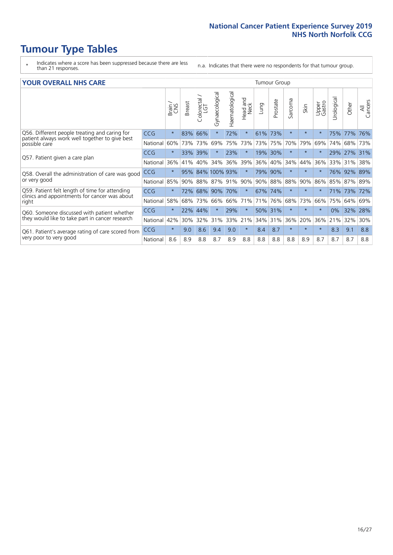- \* Indicates where a score has been suppressed because there are less than 21 responses.
- n.a. Indicates that there were no respondents for that tumour group.

#### **YOUR OVERALL NHS CARE** THE CONSTRUCTION OF THE THROUP GROUP TUMOUR GROUP

| I YON OVERALL NI IS CARL                                                                                         |            |         |               |                             |                |                |                  | anour oroup |          |              |          |                 |                 |          |                |  |  |  |  |  |  |
|------------------------------------------------------------------------------------------------------------------|------------|---------|---------------|-----------------------------|----------------|----------------|------------------|-------------|----------|--------------|----------|-----------------|-----------------|----------|----------------|--|--|--|--|--|--|
|                                                                                                                  |            | Brain   | <b>Breast</b> | ╮<br>olorectal.<br>LGT<br>Û | Gynaecological | Haematological | Head and<br>Neck | Lung        | Prostate | arcoma<br>ιñ | Skin     | Upper<br>Gastro | ত্ত<br>Urologia | Other    | All<br>Cancers |  |  |  |  |  |  |
| Q56. Different people treating and caring for<br>patient always work well together to give best<br>possible care | <b>CCG</b> | $\star$ | 83%           | 66%                         |                | 72%            | $\star$          | 61%         | 73%      | $\star$      | $\star$  |                 | 75%             | 77%      | 76%            |  |  |  |  |  |  |
|                                                                                                                  | National   | 60%     |               | 73% 73%                     | 69%            | 75%            | 73%              | 73% 75%     |          | 70%          | 79%      | 69%             | 74%             | 68%      | 73%            |  |  |  |  |  |  |
| Q57. Patient given a care plan                                                                                   | <b>CCG</b> | $\star$ | 33%           | 39%                         |                | 23%            | $\star$          | 19% 30%     |          | $\star$      | $\ast$   | $\star$         | 29%             | $ 27\% $ | 31%            |  |  |  |  |  |  |
|                                                                                                                  | National   | 36%     | 41%           | 40%                         | 34%            | 36%            | 39%              | 36%         | 40%      | 34%          | 44%      | 36%             | 33%             | 31%      | 38%            |  |  |  |  |  |  |
| Q58. Overall the administration of care was good                                                                 | <b>CCG</b> | $\star$ | 95%           |                             | 84% 100% 93%   |                | $^\star$         | 79% 90%     |          |              | $^\star$ |                 | 76%             | 92%      | 89%            |  |  |  |  |  |  |
| or very good                                                                                                     | National   | 85%     |               | 90% 88%                     | 87% 91%        |                | 90%              |             | 90% 88%  | 88%          | 90%      | 86%             | 85%             | 87% 89%  |                |  |  |  |  |  |  |
| Q59. Patient felt length of time for attending                                                                   | <b>CCG</b> | $\star$ | 72%           | 68%                         | 90%            | 70%            | $\star$          | 67% 74%     |          | $\star$      | $\star$  | $\star$         | 71%             | 73%      | 72%            |  |  |  |  |  |  |
| clinics and appointments for cancer was about<br>right                                                           | National   | 58%     | 68%           | 73%                         | 66%            | 66%            | 71%              | 71%         | 76%      | 68%          | 73%      | 66%             | 75%             | 64%      | 69%            |  |  |  |  |  |  |
| Q60. Someone discussed with patient whether                                                                      | <b>CCG</b> | $\star$ | 22%           | 44%                         |                | 29%            | $\star$          | 50% 31%     |          | $\star$      | $\star$  |                 | 0%              | 32%      | 28%            |  |  |  |  |  |  |
| they would like to take part in cancer research                                                                  | National   | 42%     | 30%           | 32%                         | 31%            | 33%            | 21%              | 34%         | 31%      | 36%          | 20%      | 36%             | 21%             | 32%      | 30%            |  |  |  |  |  |  |
| Q61. Patient's average rating of care scored from<br>very poor to very good                                      | <b>CCG</b> | $\star$ | 9.0           | 8.6                         | 9.4            | 9.0            | $\star$          | 8.4         | 8.7      | $\star$      | $\star$  | $\star$         | 8.3             | 9.1      | 8.8            |  |  |  |  |  |  |
|                                                                                                                  | National   | 8.6     | 8.9           | 8.8                         | 8.7            | 8.9            | 8.8              | 8.8         | 8.8      | 8.8          | 8.9      | 8.7             | 8.7             | 8.7      | 8.8            |  |  |  |  |  |  |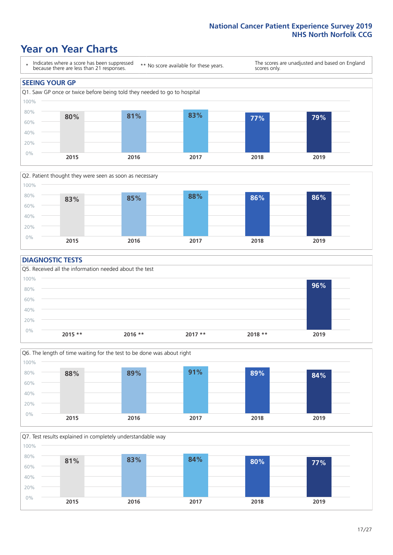### **Year on Year Charts**





#### **DIAGNOSTIC TESTS**





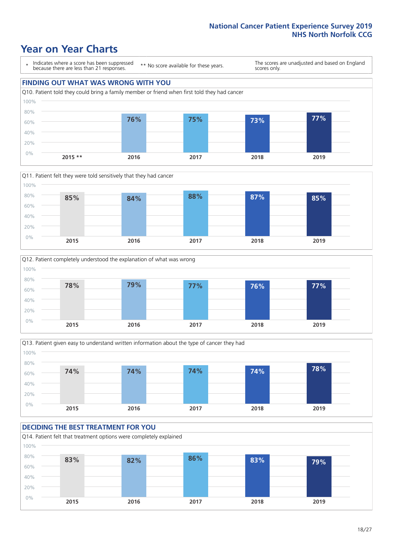### **Year on Year Charts**

\* Indicates where a score has been suppressed because there are less than 21 responses.

\*\* No score available for these years.

The scores are unadjusted and based on England scores only.









#### **DECIDING THE BEST TREATMENT FOR YOU** Q14. Patient felt that treatment options were completely explained 0% 20% 40% 60% 80% 100% **2015 2016 2017 2018 2019 83% 82% 86% 83% 79%**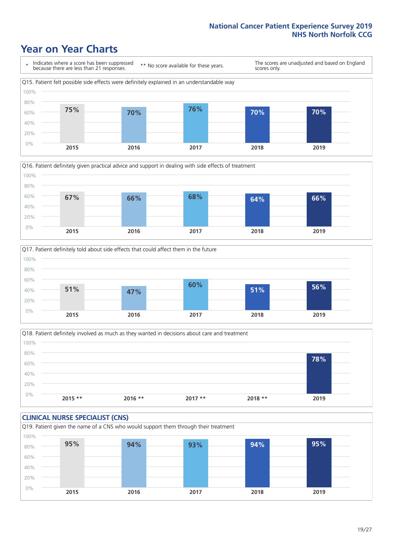### **Year on Year Charts**







Q18. Patient definitely involved as much as they wanted in decisions about care and treatment  $0%$ 20% 40% 60% 80% 100% **2015 \*\* 2016 \*\* 2017 \*\* 2018 \*\* 2019 78%**

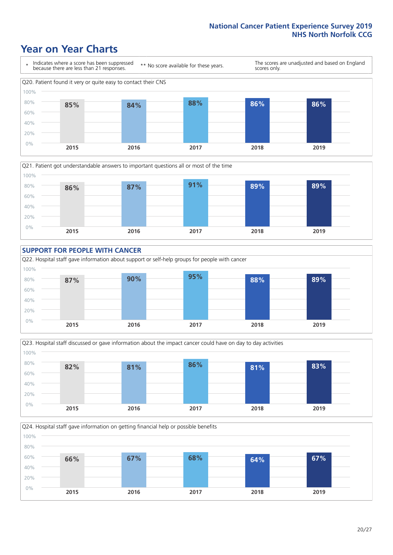### **Year on Year Charts**









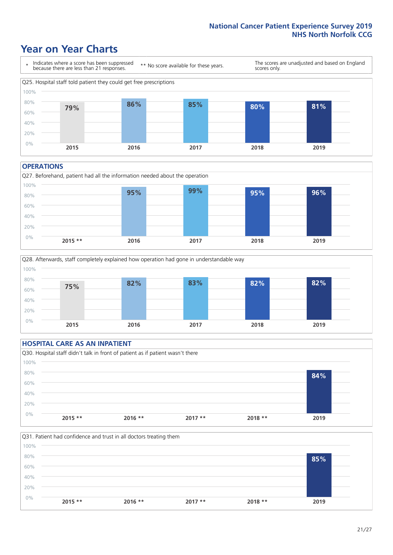### **Year on Year Charts**



#### **OPERATIONS**





### **HOSPITAL CARE AS AN INPATIENT** Q30. Hospital staff didn't talk in front of patient as if patient wasn't there 0% 20% 40% 60% 80% 100% **2015 \*\* 2016 \*\* 2017 \*\* 2018 \*\* 2019 84%**

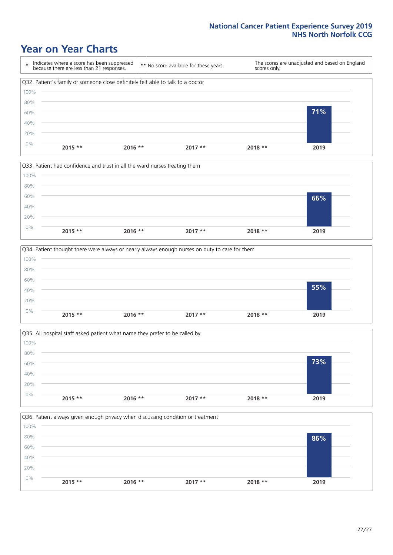### **Year on Year Charts**









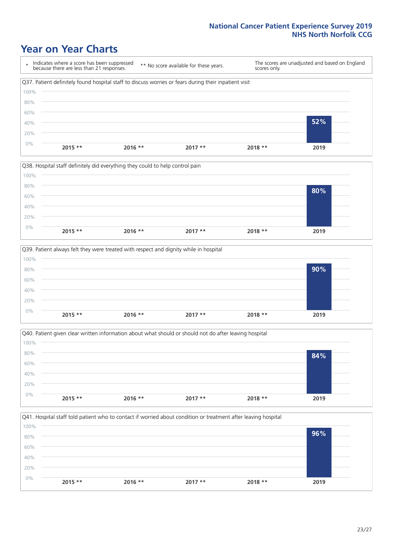### **Year on Year Charts**









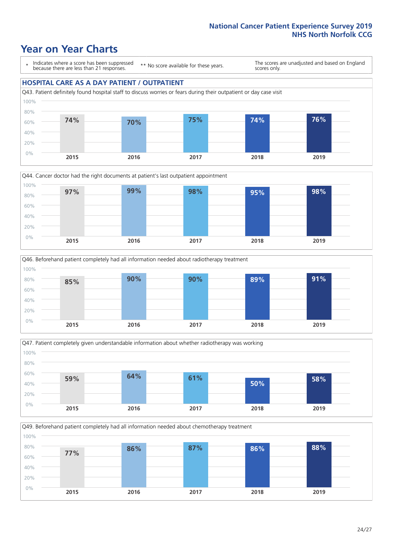### **Year on Year Charts**

\* Indicates where a score has been suppressed because there are less than 21 responses.

\*\* No score available for these years.

The scores are unadjusted and based on England scores only.

### **HOSPITAL CARE AS A DAY PATIENT / OUTPATIENT**









Q49. Beforehand patient completely had all information needed about chemotherapy treatment 0% 20% 40% 60% 80% 100% **2015 2016 2017 2018 2019 77% 86% 87% 86% 88%**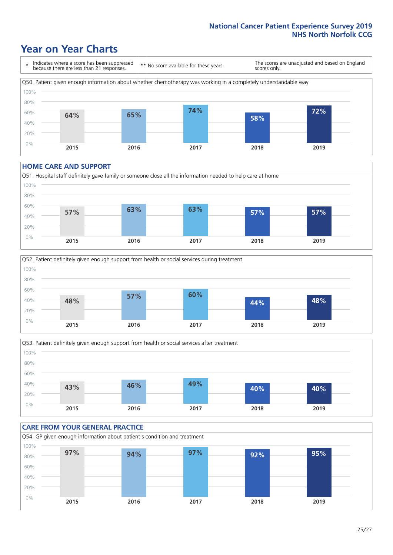### **Year on Year Charts**



#### **HOME CARE AND SUPPORT**







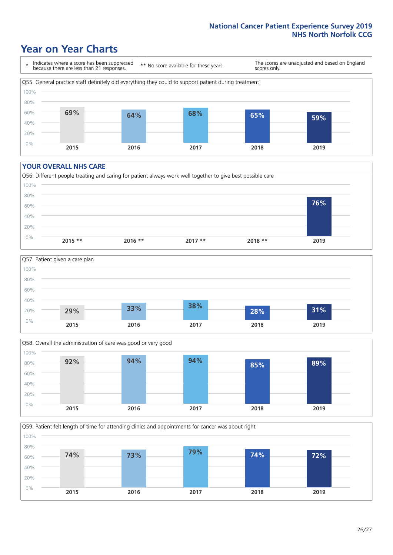### **Year on Year Charts**

\* Indicates where a score has been suppressed because there are less than 21 responses.

\*\* No score available for these years.

The scores are unadjusted and based on England scores only.



#### **YOUR OVERALL NHS CARE**







Q59. Patient felt length of time for attending clinics and appointments for cancer was about right